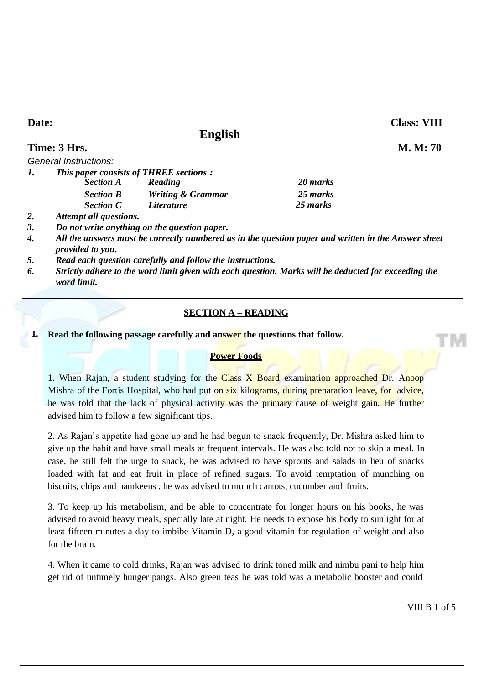## **Date:**

**English**

**Class: VIII**

| Time: 3 Hrs.                                  |                              |          | M. M: 70 |
|-----------------------------------------------|------------------------------|----------|----------|
| General Instructions:                         |                              |          |          |
| <b>This paper consists of THREE sections:</b> |                              |          |          |
| <b>Section A</b>                              | Reading                      | 20 marks |          |
| <b>Section B</b>                              | <b>Writing &amp; Grammar</b> | 25 marks |          |

*2. Attempt all questions.*

*3. Do not write anything on the question paper.*

*Section C Literature*

*4. All the answers must be correctly numbered as in the question paper and written in the Answer sheet provided to you.*

*25 marks*

*5. Read each question carefully and follow the instructions.*

*6. Strictly adhere to the word limit given with each question. Marks will be deducted for exceeding the word limit.*

## **SECTION A – READING**

**1. Read the following passage carefully and answer the questions that follow.**

#### **Power Foods**

1. When Rajan, a student studying for the Class X Board examination approached Dr. Anoop Mishra of the Fortis Hospital, who had put on six kilograms, during preparation leave, for advice, he was told that the lack of physical activity was the primary cause of weight gain. He further advised him to follow a few significant tips.

2. As Rajan's appetite had gone up and he had begun to snack frequently, Dr. Mishra asked him to give up the habit and have small meals at frequent intervals. He was also told not to skip a meal. In case, he still felt the urge to snack, he was advised to have sprouts and salads in lieu of snacks loaded with fat and eat fruit in place of refined sugars. To avoid temptation of munching on biscuits, chips and namkeens , he was advised to munch carrots, cucumber and fruits.

3. To keep up his metabolism, and be able to concentrate for longer hours on his books, he was advised to avoid heavy meals, specially late at night. He needs to expose his body to sunlight for at least fifteen minutes a day to imbibe Vitamin D, a good vitamin for regulation of weight and also for the brain.

4. When it came to cold drinks, Rajan was advised to drink toned milk and nimbu pani to help him get rid of untimely hunger pangs. Also green teas he was told was a metabolic booster and could

VIII B 1 of 5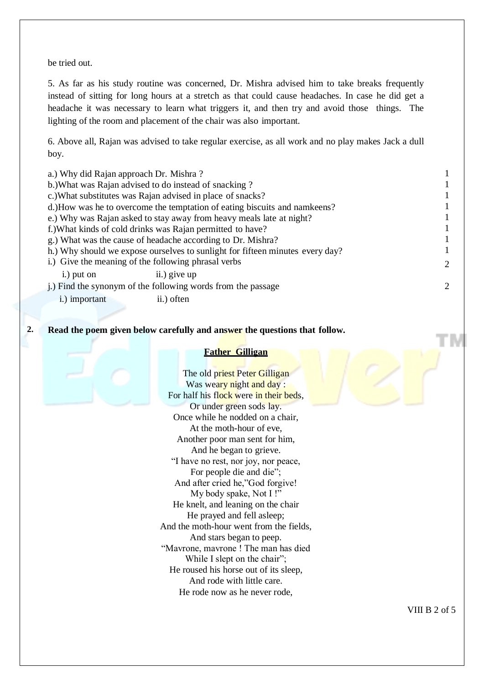be tried out.

5. As far as his study routine was concerned, Dr. Mishra advised him to take breaks frequently instead of sitting for long hours at a stretch as that could cause headaches. In case he did get a headache it was necessary to learn what triggers it, and then try and avoid those things. The lighting of the room and placement of the chair was also important.

6. Above all, Rajan was advised to take regular exercise, as all work and no play makes Jack a dull boy.

| a.) Why did Rajan approach Dr. Mishra? |                                                                               |                             |
|----------------------------------------|-------------------------------------------------------------------------------|-----------------------------|
|                                        | b.) What was Rajan advised to do instead of snacking?                         |                             |
|                                        | c.) What substitutes was Rajan advised in place of snacks?                    |                             |
|                                        | d.)How was he to overcome the temptation of eating biscuits and namkeens?     |                             |
|                                        | e.) Why was Rajan asked to stay away from heavy meals late at night?          |                             |
|                                        | f.) What kinds of cold drinks was Rajan permitted to have?                    |                             |
|                                        | g.) What was the cause of headache according to Dr. Mishra?                   |                             |
|                                        | h.) Why should we expose ourselves to sunlight for fifteen minutes every day? |                             |
|                                        | i.) Give the meaning of the following phrasal verbs                           | $\mathcal{D}_{\mathcal{L}}$ |
| i.) put on                             | ii.) give up                                                                  |                             |
|                                        | i.) Find the synonym of the following words from the passage                  | $\mathcal{D}_{\mathcal{L}}$ |
| i.) important                          | ii.) often                                                                    |                             |
|                                        |                                                                               |                             |

**2. Read the poem given below carefully and answer the questions that follow.**

### **Father Gilligan**

The old priest Peter Gilligan Was weary night and day : For half his flock were in their beds, Or under green sods lay. Once while he nodded on a chair, At the moth-hour of eve, Another poor man sent for him, And he began to grieve. "I have no rest, nor joy, nor peace, For people die and die"; And after cried he,"God forgive! My body spake, Not I !" He knelt, and leaning on the chair He prayed and fell asleep; And the moth-hour went from the fields, And stars began to peep. "Mavrone, mavrone ! The man has died While I slept on the chair"; He roused his horse out of its sleep, And rode with little care. He rode now as he never rode,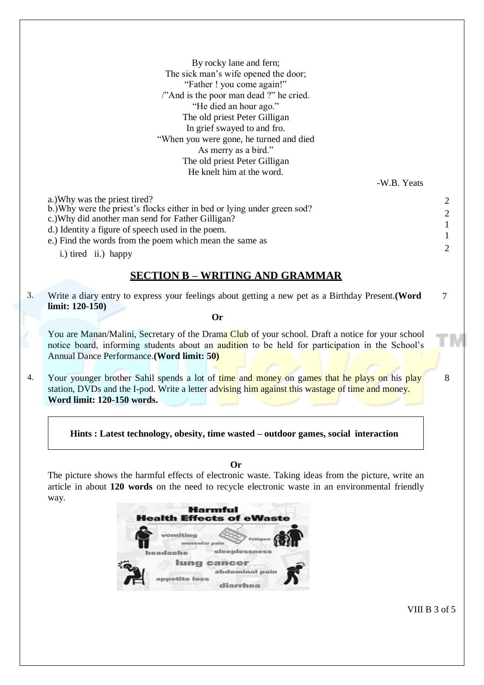|    | By rocky lane and fern;                                                                           |                |
|----|---------------------------------------------------------------------------------------------------|----------------|
|    | The sick man's wife opened the door;                                                              |                |
|    | "Father ! you come again!"                                                                        |                |
|    | "And is the poor man dead ?" he cried.                                                            |                |
|    | "He died an hour ago."                                                                            |                |
|    | The old priest Peter Gilligan                                                                     |                |
|    | In grief swayed to and fro.                                                                       |                |
|    | "When you were gone, he turned and died                                                           |                |
|    | As merry as a bird."                                                                              |                |
|    | The old priest Peter Gilligan                                                                     |                |
|    | He knelt him at the word.                                                                         |                |
|    | -W.B. Yeats                                                                                       |                |
|    | a.) Why was the priest tired?                                                                     | 2              |
|    | b.) Why were the priest's flocks either in bed or lying under green sod?                          |                |
|    | c.) Why did another man send for Father Gilligan?                                                 | 2              |
|    | d.) Identity a figure of speech used in the poem.                                                 | 1              |
|    | e.) Find the words from the poem which mean the same as                                           | 1              |
|    | i.) tired ii.) happy                                                                              | $\overline{2}$ |
|    |                                                                                                   |                |
|    | <b>SECTION B - WRITING AND GRAMMAR</b>                                                            |                |
|    |                                                                                                   |                |
| 3. | Write a diary entry to express your feelings about getting a new pet as a Birthday Present. (Word | 7              |
|    | limit: $120-150$ )                                                                                |                |
|    | <b>Or</b>                                                                                         |                |
|    | You are Manan/Malini, Secretary of the Drama Club of your school. Draft a notice for your school  |                |
|    | notice board, informing students about an audition to be held for participation in the School's   |                |
|    | Annual Dance Performance. (Word limit: 50)                                                        |                |

4. Your younger brother Sahil spends a lot of time and money on games that he plays on his play 8 station, DVDs and the I-pod. Write a letter advising him against this wastage of time and money. **Word limit: 120-150 words.**

**Hints : Latest technology, obesity, time wasted – outdoor games, social interaction**

**Or**

The picture shows the harmful effects of electronic waste. Taking ideas from the picture, write an article in about **120 words** on the need to recycle electronic waste in an environmental friendly way.



VIII B 3 of 5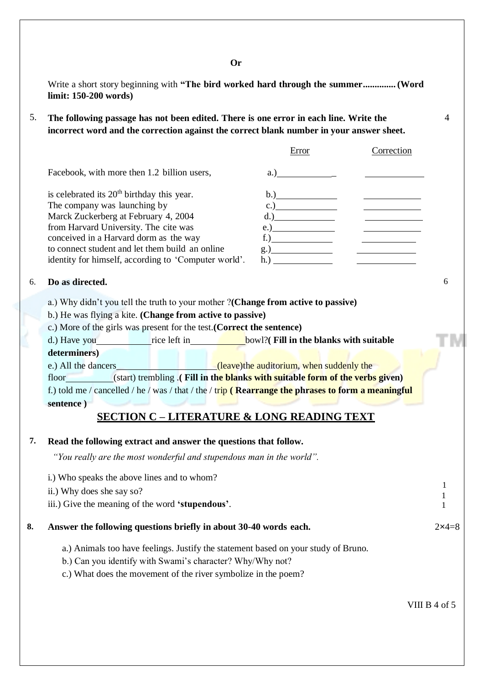Write a short story beginning with **"The bird worked hard through the summer.............. (Word limit: 150-200 words)**

5. **The following passage has not been edited. There is one error in each line. Write the** 4 **incorrect word and the correction against the correct blank number in your answer sheet.**

|                                                        | Error | Correction |
|--------------------------------------------------------|-------|------------|
| Facebook, with more then 1.2 billion users,            | a.)   |            |
| is celebrated its 20 <sup>th</sup> birthday this year. | b.)   |            |
| The company was launching by                           |       |            |
| Marck Zuckerberg at February 4, 2004                   |       |            |
| from Harvard University. The cite was                  | e.    |            |
| conceived in a Harvard dorm as the way                 |       |            |
| to connect student and let them build an online        | g.)   |            |
| identity for himself, according to 'Computer world'.   | h.)   |            |

### 6. **Do as directed.** 6

- a.) Why didn't you tell the truth to your mother ?**(Change from active to passive)**
- b.) He was flying a kite. **(Change from active to passive)**
- c.) More of the girls was present for the test.**(Correct the sentence)**
- d.) Have you rice left in **bowl?**(**Fill in the blanks with suitable determiners)**
- e.) All the dancers (leave)the auditorium, when suddenly the

floor (start) trembling .**( Fill in the blanks with suitable form of the verbs given)**  f.) told me / cancelled / he / was / that / the / trip **( Rearrange the phrases to form a meaningful sentence )**

# **SECTION C – LITERATURE & LONG READING TEXT**

### **7. Read the following extract and answer the questions that follow.**

*"You really are the most wonderful and stupendous man in the world".*

|    | i.) Who speaks the above lines and to whom?                                        |         |
|----|------------------------------------------------------------------------------------|---------|
|    | ii.) Why does she say so?                                                          |         |
|    | iii.) Give the meaning of the word <b>'stupendous'</b> .                           |         |
| 8. | Answer the following questions briefly in about 30-40 words each.                  | $2x4=8$ |
|    | a.) Animals too have feelings. Justify the statement based on your study of Bruno. |         |
|    | b.) Can you identify with Swami's character? Why/Why not?                          |         |
|    | c.) What does the movement of the river symbolize in the poem?                     |         |
|    |                                                                                    |         |

VIII B 4 of 5

**Or**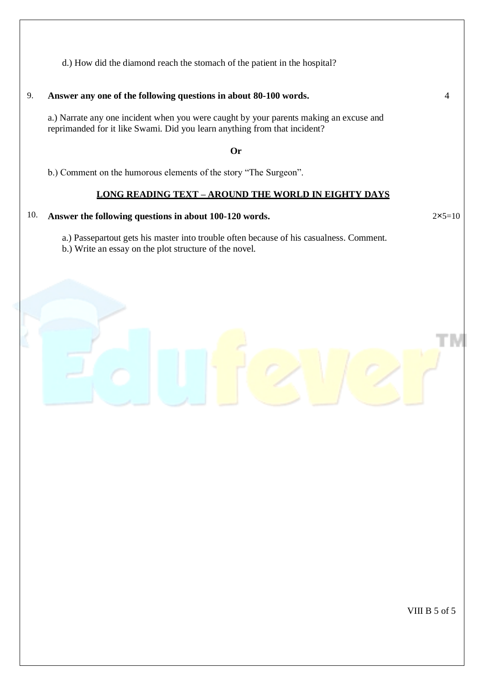d.) How did the diamond reach the stomach of the patient in the hospital?

9. **Answer any one of the following questions in about 80-100 words.** 4

a.) Narrate any one incident when you were caught by your parents making an excuse and reprimanded for it like Swami. Did you learn anything from that incident?

**Or**

b.) Comment on the humorous elements of the story "The Surgeon".

## **LONG READING TEXT – AROUND THE WORLD IN EIGHTY DAYS**

## 10. **Answer the following questions in about 100-120 words.**

a.) Passepartout gets his master into trouble often because of his casualness. Comment.

b.) Write an essay on the plot structure of the novel.



 $2x5=10$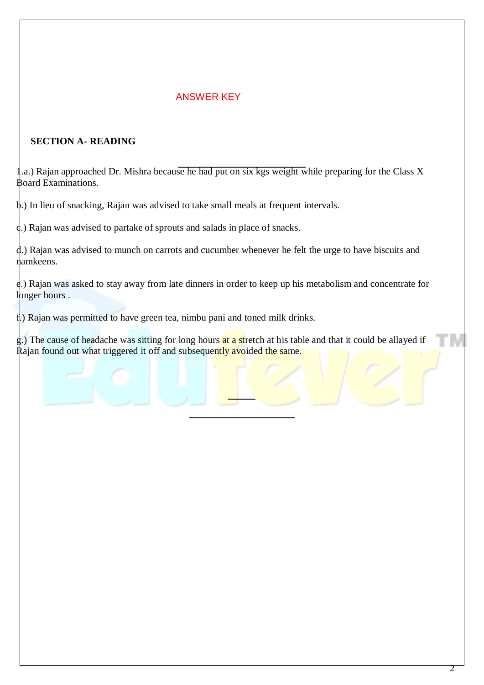# ANSWER KEY

## **SECTION A- READING**

1.a.) Rajan approached Dr. Mishra because he had put on six kgs weight while preparing for the Class X Board Examinations.

b.) In lieu of snacking, Rajan was advised to take small meals at frequent intervals.

c.) Rajan was advised to partake of sprouts and salads in place of snacks.

d.) Rajan was advised to munch on carrots and cucumber whenever he felt the urge to have biscuits and namkeens.

e.) Rajan was asked to stay away from late dinners in order to keep up his metabolism and concentrate for longer hours.

f.) Rajan was permitted to have green tea, nimbu pani and toned milk drinks.

g.) The cause of headache was sitting for long hours at a stretch at his table and that it could be allayed if Rajan found out what triggered it off and subsequently avoided the same.